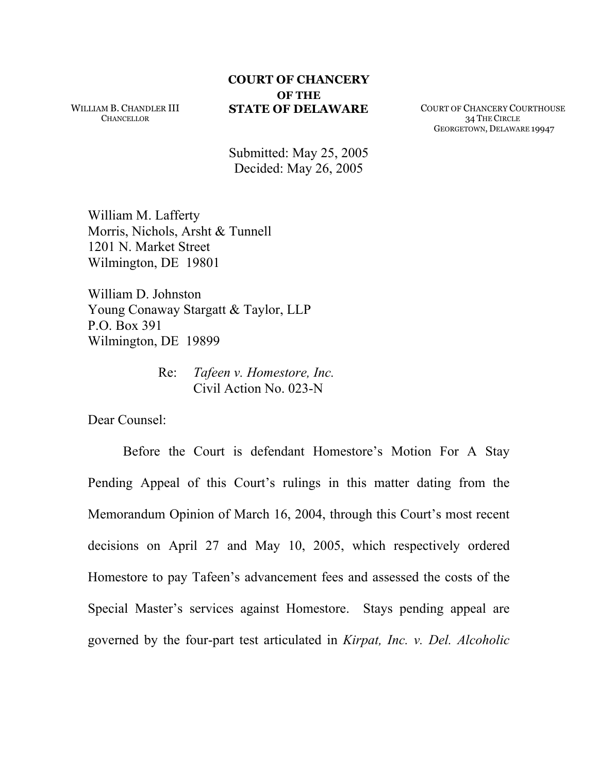WILLIAM B. CHANDLER III **CHANCELLOR** 

## **COURT OF CHANCERY OF THE**

**STATE OF DELAWARE** COURT OF CHANCERY COURTHOUSE 34 THE CIRCLE GEORGETOWN, DELAWARE 19947

Submitted: May 25, 2005 Decided: May 26, 2005

William M. Lafferty Morris, Nichols, Arsht & Tunnell 1201 N. Market Street Wilmington, DE 19801

William D. Johnston Young Conaway Stargatt & Taylor, LLP P.O. Box 391 Wilmington, DE 19899

> Re: *Tafeen v. Homestore, Inc.*  Civil Action No. 023-N

Dear Counsel:

Before the Court is defendant Homestore's Motion For A Stay Pending Appeal of this Court's rulings in this matter dating from the Memorandum Opinion of March 16, 2004, through this Court's most recent decisions on April 27 and May 10, 2005, which respectively ordered Homestore to pay Tafeen's advancement fees and assessed the costs of the Special Master's services against Homestore. Stays pending appeal are governed by the four-part test articulated in *Kirpat, Inc. v. Del. Alcoholic*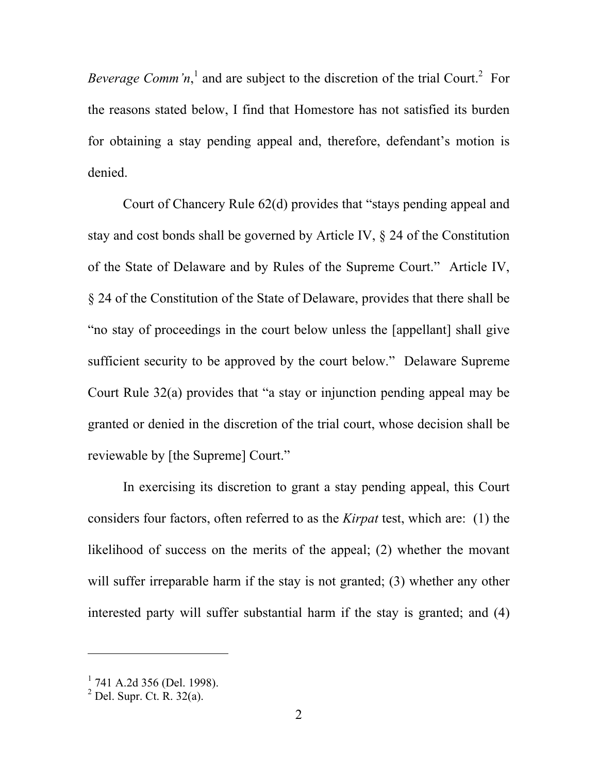*Beverage Comm'n*,<sup>1</sup> and are subject to the discretion of the trial Court.<sup>2</sup> For the reasons stated below, I find that Homestore has not satisfied its burden for obtaining a stay pending appeal and, therefore, defendant's motion is denied.

Court of Chancery Rule 62(d) provides that "stays pending appeal and stay and cost bonds shall be governed by Article IV, § 24 of the Constitution of the State of Delaware and by Rules of the Supreme Court." Article IV, § 24 of the Constitution of the State of Delaware, provides that there shall be "no stay of proceedings in the court below unless the [appellant] shall give sufficient security to be approved by the court below." Delaware Supreme Court Rule 32(a) provides that "a stay or injunction pending appeal may be granted or denied in the discretion of the trial court, whose decision shall be reviewable by [the Supreme] Court."

In exercising its discretion to grant a stay pending appeal, this Court considers four factors, often referred to as the *Kirpat* test, which are: (1) the likelihood of success on the merits of the appeal; (2) whether the movant will suffer irreparable harm if the stay is not granted; (3) whether any other interested party will suffer substantial harm if the stay is granted; and (4)

l

 $1$  741 A.2d 356 (Del. 1998).

 $<sup>2</sup>$  Del. Supr. Ct. R. 32(a).</sup>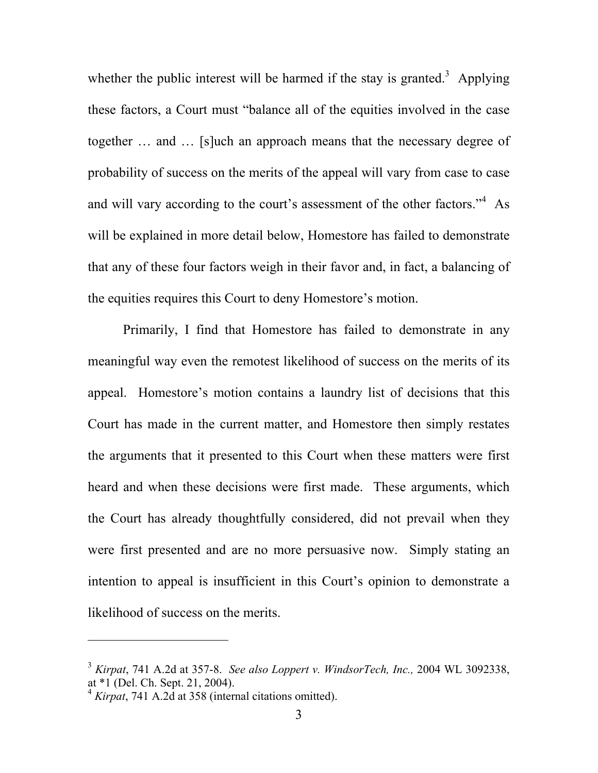whether the public interest will be harmed if the stay is granted.<sup>3</sup> Applying these factors, a Court must "balance all of the equities involved in the case together … and … [s]uch an approach means that the necessary degree of probability of success on the merits of the appeal will vary from case to case and will vary according to the court's assessment of the other factors."<sup>4</sup> As will be explained in more detail below, Homestore has failed to demonstrate that any of these four factors weigh in their favor and, in fact, a balancing of the equities requires this Court to deny Homestore's motion.

Primarily, I find that Homestore has failed to demonstrate in any meaningful way even the remotest likelihood of success on the merits of its appeal. Homestore's motion contains a laundry list of decisions that this Court has made in the current matter, and Homestore then simply restates the arguments that it presented to this Court when these matters were first heard and when these decisions were first made. These arguments, which the Court has already thoughtfully considered, did not prevail when they were first presented and are no more persuasive now. Simply stating an intention to appeal is insufficient in this Court's opinion to demonstrate a likelihood of success on the merits.

-

<sup>3</sup> *Kirpat*, 741 A.2d at 357-8. *See also Loppert v. WindsorTech, Inc.,* 2004 WL 3092338, at \*1 (Del. Ch. Sept. 21, 2004).

<sup>4</sup> *Kirpat*, 741 A.2d at 358 (internal citations omitted).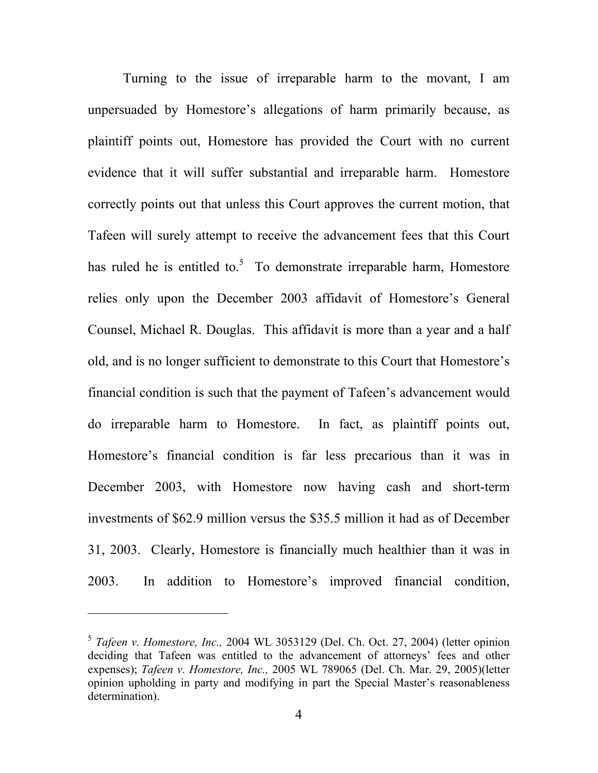Turning to the issue of irreparable harm to the movant, I am unpersuaded by Homestore's allegations of harm primarily because, as plaintiff points out, Homestore has provided the Court with no current evidence that it will suffer substantial and irreparable harm. Homestore correctly points out that unless this Court approves the current motion, that Tafeen will surely attempt to receive the advancement fees that this Court has ruled he is entitled to.<sup>5</sup> To demonstrate irreparable harm, Homestore relies only upon the December 2003 affidavit of Homestore's General Counsel, Michael R. Douglas. This affidavit is more than a year and a half old, and is no longer sufficient to demonstrate to this Court that Homestore's financial condition is such that the payment of Tafeen's advancement would do irreparable harm to Homestore. In fact, as plaintiff points out, Homestore's financial condition is far less precarious than it was in December 2003, with Homestore now having cash and short-term investments of \$62.9 million versus the \$35.5 million it had as of December 31, 2003. Clearly, Homestore is financially much healthier than it was in 2003. In addition to Homestore's improved financial condition,

 $\overline{a}$ 

<sup>5</sup> *Tafeen v. Homestore, Inc.,* 2004 WL 3053129 (Del. Ch. Oct. 27, 2004) (letter opinion deciding that Tafeen was entitled to the advancement of attorneys' fees and other expenses); *Tafeen v. Homestore, Inc.,* 2005 WL 789065 (Del. Ch. Mar. 29, 2005)(letter opinion upholding in party and modifying in part the Special Master's reasonableness determination).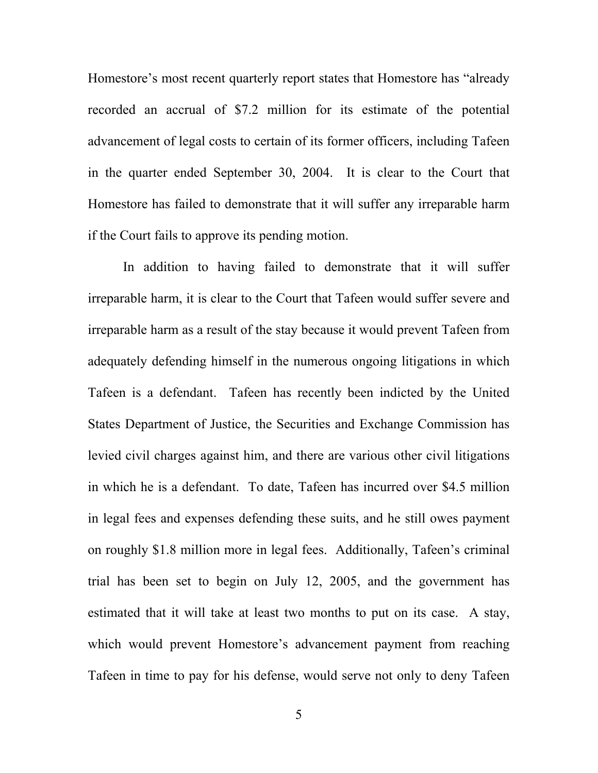Homestore's most recent quarterly report states that Homestore has "already recorded an accrual of \$7.2 million for its estimate of the potential advancement of legal costs to certain of its former officers, including Tafeen in the quarter ended September 30, 2004. It is clear to the Court that Homestore has failed to demonstrate that it will suffer any irreparable harm if the Court fails to approve its pending motion.

In addition to having failed to demonstrate that it will suffer irreparable harm, it is clear to the Court that Tafeen would suffer severe and irreparable harm as a result of the stay because it would prevent Tafeen from adequately defending himself in the numerous ongoing litigations in which Tafeen is a defendant. Tafeen has recently been indicted by the United States Department of Justice, the Securities and Exchange Commission has levied civil charges against him, and there are various other civil litigations in which he is a defendant. To date, Tafeen has incurred over \$4.5 million in legal fees and expenses defending these suits, and he still owes payment on roughly \$1.8 million more in legal fees. Additionally, Tafeen's criminal trial has been set to begin on July 12, 2005, and the government has estimated that it will take at least two months to put on its case. A stay, which would prevent Homestore's advancement payment from reaching Tafeen in time to pay for his defense, would serve not only to deny Tafeen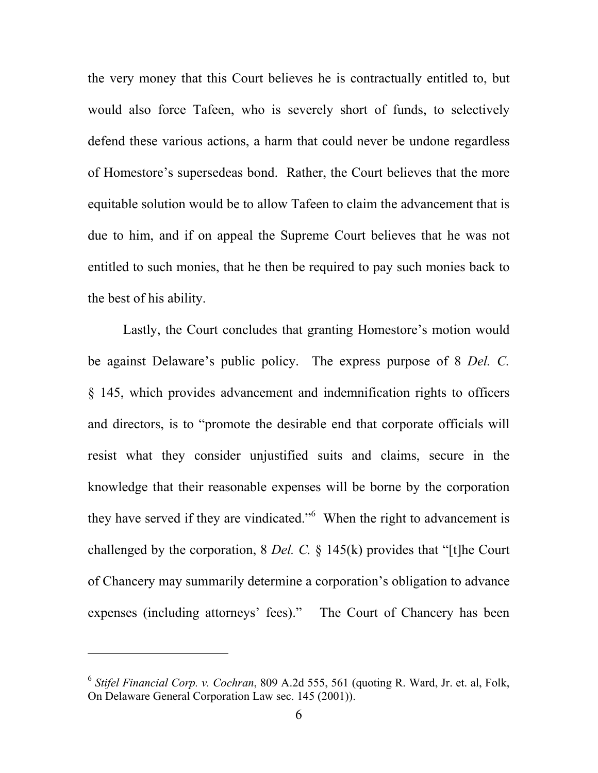the very money that this Court believes he is contractually entitled to, but would also force Tafeen, who is severely short of funds, to selectively defend these various actions, a harm that could never be undone regardless of Homestore's supersedeas bond. Rather, the Court believes that the more equitable solution would be to allow Tafeen to claim the advancement that is due to him, and if on appeal the Supreme Court believes that he was not entitled to such monies, that he then be required to pay such monies back to the best of his ability.

Lastly, the Court concludes that granting Homestore's motion would be against Delaware's public policy. The express purpose of 8 *Del. C.* § 145, which provides advancement and indemnification rights to officers and directors, is to "promote the desirable end that corporate officials will resist what they consider unjustified suits and claims, secure in the knowledge that their reasonable expenses will be borne by the corporation they have served if they are vindicated."<sup>6</sup> When the right to advancement is challenged by the corporation, 8 *Del. C.* § 145(k) provides that "[t]he Court of Chancery may summarily determine a corporation's obligation to advance expenses (including attorneys' fees)." The Court of Chancery has been

l

<sup>6</sup> *Stifel Financial Corp. v. Cochran*, 809 A.2d 555, 561 (quoting R. Ward, Jr. et. al, Folk, On Delaware General Corporation Law sec. 145 (2001)).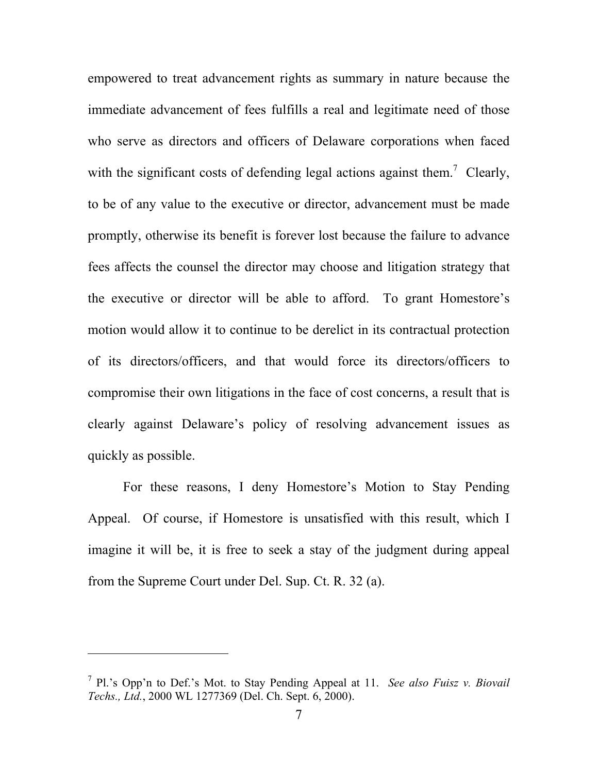empowered to treat advancement rights as summary in nature because the immediate advancement of fees fulfills a real and legitimate need of those who serve as directors and officers of Delaware corporations when faced with the significant costs of defending legal actions against them.<sup>7</sup> Clearly, to be of any value to the executive or director, advancement must be made promptly, otherwise its benefit is forever lost because the failure to advance fees affects the counsel the director may choose and litigation strategy that the executive or director will be able to afford. To grant Homestore's motion would allow it to continue to be derelict in its contractual protection of its directors/officers, and that would force its directors/officers to compromise their own litigations in the face of cost concerns, a result that is clearly against Delaware's policy of resolving advancement issues as quickly as possible.

For these reasons, I deny Homestore's Motion to Stay Pending Appeal. Of course, if Homestore is unsatisfied with this result, which I imagine it will be, it is free to seek a stay of the judgment during appeal from the Supreme Court under Del. Sup. Ct. R. 32 (a).

 $\overline{a}$ 

<sup>7</sup> Pl.'s Opp'n to Def.'s Mot. to Stay Pending Appeal at 11. *See also Fuisz v. Biovail Techs., Ltd.*, 2000 WL 1277369 (Del. Ch. Sept. 6, 2000).